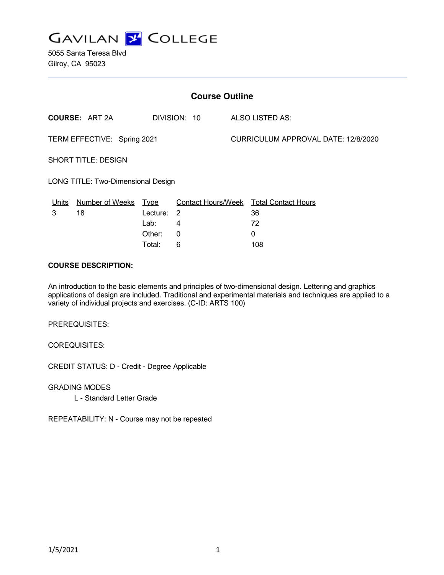

5055 Santa Teresa Blvd Gilroy, CA 95023

| <b>Course Outline</b>              |                                       |            |                        |                                     |                                        |
|------------------------------------|---------------------------------------|------------|------------------------|-------------------------------------|----------------------------------------|
|                                    | <b>COURSE: ART 2A</b><br>DIVISION: 10 |            | <b>ALSO LISTED AS:</b> |                                     |                                        |
| TERM EFFECTIVE: Spring 2021        |                                       |            |                        | CURRICULUM APPROVAL DATE: 12/8/2020 |                                        |
| <b>SHORT TITLE: DESIGN</b>         |                                       |            |                        |                                     |                                        |
| LONG TITLE: Two-Dimensional Design |                                       |            |                        |                                     |                                        |
| <u>Units</u>                       | Number of Weeks Type                  |            |                        |                                     | Contact Hours/Week Total Contact Hours |
| 3                                  | 18                                    | Lecture: 2 |                        |                                     | 36                                     |
|                                    |                                       | Lab:       | 4                      |                                     | 72                                     |
|                                    |                                       | Other:     | 0                      |                                     | 0                                      |
|                                    |                                       | Total:     | 6                      |                                     | 108                                    |

#### **COURSE DESCRIPTION:**

An introduction to the basic elements and principles of two-dimensional design. Lettering and graphics applications of design are included. Traditional and experimental materials and techniques are applied to a variety of individual projects and exercises. (C-ID: ARTS 100)

PREREQUISITES:

COREQUISITES:

CREDIT STATUS: D - Credit - Degree Applicable

GRADING MODES

L - Standard Letter Grade

REPEATABILITY: N - Course may not be repeated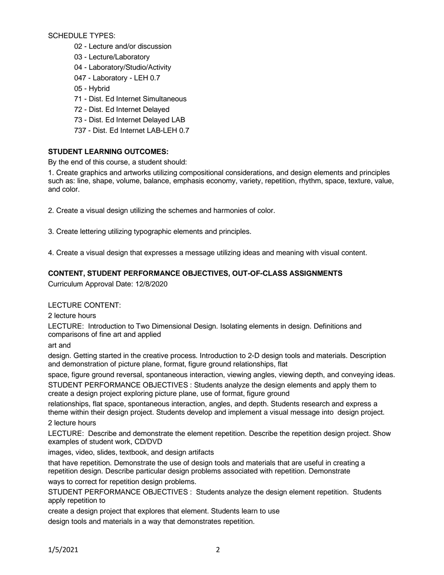SCHEDULE TYPES:

- 02 Lecture and/or discussion
- 03 Lecture/Laboratory
- 04 Laboratory/Studio/Activity
- 047 Laboratory LEH 0.7
- 05 Hybrid
- 71 Dist. Ed Internet Simultaneous
- 72 Dist. Ed Internet Delayed
- 73 Dist. Ed Internet Delayed LAB
- 737 Dist. Ed Internet LAB-LEH 0.7

# **STUDENT LEARNING OUTCOMES:**

By the end of this course, a student should:

1. Create graphics and artworks utilizing compositional considerations, and design elements and principles such as: line, shape, volume, balance, emphasis economy, variety, repetition, rhythm, space, texture, value, and color.

2. Create a visual design utilizing the schemes and harmonies of color.

3. Create lettering utilizing typographic elements and principles.

4. Create a visual design that expresses a message utilizing ideas and meaning with visual content.

# **CONTENT, STUDENT PERFORMANCE OBJECTIVES, OUT-OF-CLASS ASSIGNMENTS**

Curriculum Approval Date: 12/8/2020

# LECTURE CONTENT:

2 lecture hours

LECTURE: Introduction to Two Dimensional Design. Isolating elements in design. Definitions and comparisons of fine art and applied

art and

design. Getting started in the creative process. Introduction to 2-D design tools and materials. Description and demonstration of picture plane, format, figure ground relationships, flat

space, figure ground reversal, spontaneous interaction, viewing angles, viewing depth, and conveying ideas.

STUDENT PERFORMANCE OBJECTIVES : Students analyze the design elements and apply them to create a design project exploring picture plane, use of format, figure ground

relationships, flat space, spontaneous interaction, angles, and depth. Students research and express a theme within their design project. Students develop and implement a visual message into design project.

2 lecture hours

LECTURE: Describe and demonstrate the element repetition. Describe the repetition design project. Show examples of student work, CD/DVD

images, video, slides, textbook, and design artifacts

that have repetition. Demonstrate the use of design tools and materials that are useful in creating a repetition design. Describe particular design problems associated with repetition. Demonstrate ways to correct for repetition design problems.

STUDENT PERFORMANCE OBJECTIVES : Students analyze the design element repetition. Students apply repetition to

create a design project that explores that element. Students learn to use design tools and materials in a way that demonstrates repetition.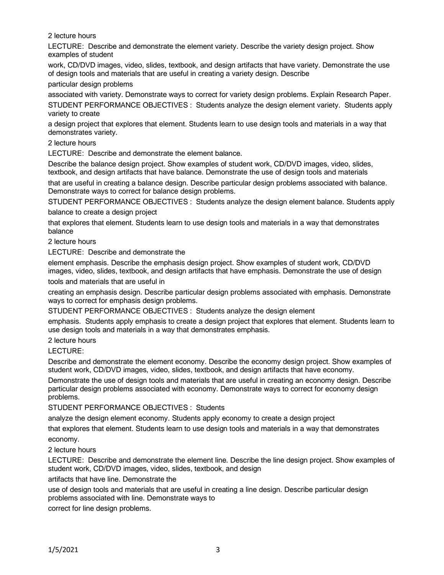2 lecture hours

LECTURE: Describe and demonstrate the element variety. Describe the variety design project. Show examples of student

work, CD/DVD images, video, slides, textbook, and design artifacts that have variety. Demonstrate the use of design tools and materials that are useful in creating a variety design. Describe

particular design problems

associated with variety. Demonstrate ways to correct for variety design problems. Explain Research Paper. STUDENT PERFORMANCE OBJECTIVES : Students analyze the design element variety. Students apply variety to create

a design project that explores that element. Students learn to use design tools and materials in a way that demonstrates variety.

2 lecture hours

LECTURE: Describe and demonstrate the element balance.

Describe the balance design project. Show examples of student work, CD/DVD images, video, slides, textbook, and design artifacts that have balance. Demonstrate the use of design tools and materials

that are useful in creating a balance design. Describe particular design problems associated with balance. Demonstrate ways to correct for balance design problems.

STUDENT PERFORMANCE OBJECTIVES : Students analyze the design element balance. Students apply balance to create a design project

that explores that element. Students learn to use design tools and materials in a way that demonstrates balance

2 lecture hours

LECTURE: Describe and demonstrate the

element emphasis. Describe the emphasis design project. Show examples of student work, CD/DVD images, video, slides, textbook, and design artifacts that have emphasis. Demonstrate the use of design

tools and materials that are useful in

creating an emphasis design. Describe particular design problems associated with emphasis. Demonstrate ways to correct for emphasis design problems.

STUDENT PERFORMANCE OBJECTIVES : Students analyze the design element

emphasis. Students apply emphasis to create a design project that explores that element. Students learn to use design tools and materials in a way that demonstrates emphasis.

2 lecture hours

LECTURE:

Describe and demonstrate the element economy. Describe the economy design project. Show examples of student work, CD/DVD images, video, slides, textbook, and design artifacts that have economy.

Demonstrate the use of design tools and materials that are useful in creating an economy design. Describe particular design problems associated with economy. Demonstrate ways to correct for economy design problems.

STUDENT PERFORMANCE OBJECTIVES : Students

analyze the design element economy. Students apply economy to create a design project

that explores that element. Students learn to use design tools and materials in a way that demonstrates economy.

2 lecture hours

LECTURE: Describe and demonstrate the element line. Describe the line design project. Show examples of student work, CD/DVD images, video, slides, textbook, and design

artifacts that have line. Demonstrate the

use of design tools and materials that are useful in creating a line design. Describe particular design problems associated with line. Demonstrate ways to

correct for line design problems.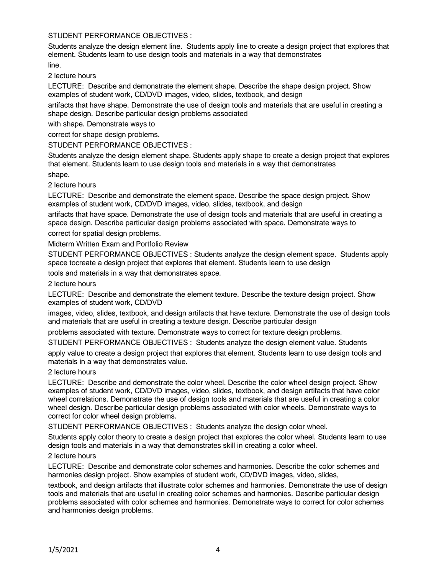#### STUDENT PERFORMANCE OBJECTIVES :

Students analyze the design element line. Students apply line to create a design project that explores that element. Students learn to use design tools and materials in a way that demonstrates line.

2 lecture hours

LECTURE: Describe and demonstrate the element shape. Describe the shape design project. Show examples of student work, CD/DVD images, video, slides, textbook, and design

artifacts that have shape. Demonstrate the use of design tools and materials that are useful in creating a shape design. Describe particular design problems associated

with shape. Demonstrate ways to

correct for shape design problems.

STUDENT PERFORMANCE OBJECTIVES :

Students analyze the design element shape. Students apply shape to create a design project that explores that element. Students learn to use design tools and materials in a way that demonstrates

shape.

2 lecture hours

LECTURE: Describe and demonstrate the element space. Describe the space design project. Show examples of student work, CD/DVD images, video, slides, textbook, and design

artifacts that have space. Demonstrate the use of design tools and materials that are useful in creating a space design. Describe particular design problems associated with space. Demonstrate ways to

correct for spatial design problems.

Midterm Written Exam and Portfolio Review

STUDENT PERFORMANCE OBJECTIVES : Students analyze the design element space. Students apply space tocreate a design project that explores that element. Students learn to use design

tools and materials in a way that demonstrates space.

2 lecture hours

LECTURE: Describe and demonstrate the element texture. Describe the texture design project. Show examples of student work, CD/DVD

images, video, slides, textbook, and design artifacts that have texture. Demonstrate the use of design tools and materials that are useful in creating a texture design. Describe particular design

problems associated with texture. Demonstrate ways to correct for texture design problems.

STUDENT PERFORMANCE OBJECTIVES : Students analyze the design element value. Students

apply value to create a design project that explores that element. Students learn to use design tools and materials in a way that demonstrates value.

#### 2 lecture hours

LECTURE: Describe and demonstrate the color wheel. Describe the color wheel design project. Show examples of student work, CD/DVD images, video, slides, textbook, and design artifacts that have color wheel correlations. Demonstrate the use of design tools and materials that are useful in creating a color wheel design. Describe particular design problems associated with color wheels. Demonstrate ways to correct for color wheel design problems.

STUDENT PERFORMANCE OBJECTIVES : Students analyze the design color wheel.

Students apply color theory to create a design project that explores the color wheel. Students learn to use design tools and materials in a way that demonstrates skill in creating a color wheel.

#### 2 lecture hours

LECTURE: Describe and demonstrate color schemes and harmonies. Describe the color schemes and harmonies design project. Show examples of student work, CD/DVD images, video, slides,

textbook, and design artifacts that illustrate color schemes and harmonies. Demonstrate the use of design tools and materials that are useful in creating color schemes and harmonies. Describe particular design problems associated with color schemes and harmonies. Demonstrate ways to correct for color schemes and harmonies design problems.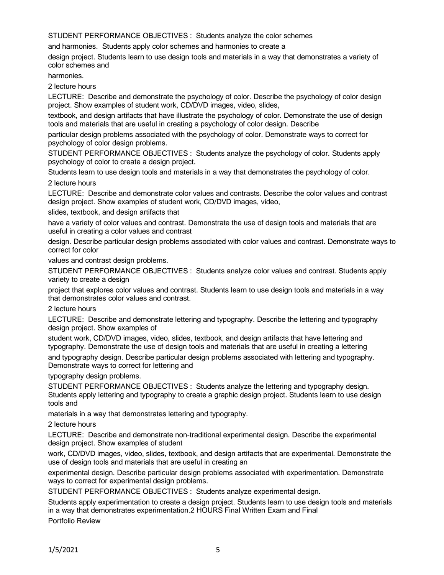STUDENT PERFORMANCE OBJECTIVES : Students analyze the color schemes

and harmonies. Students apply color schemes and harmonies to create a

design project. Students learn to use design tools and materials in a way that demonstrates a variety of color schemes and

harmonies.

2 lecture hours

LECTURE: Describe and demonstrate the psychology of color. Describe the psychology of color design project. Show examples of student work, CD/DVD images, video, slides,

textbook, and design artifacts that have illustrate the psychology of color. Demonstrate the use of design tools and materials that are useful in creating a psychology of color design. Describe

particular design problems associated with the psychology of color. Demonstrate ways to correct for psychology of color design problems.

STUDENT PERFORMANCE OBJECTIVES : Students analyze the psychology of color. Students apply psychology of color to create a design project.

Students learn to use design tools and materials in a way that demonstrates the psychology of color. 2 lecture hours

LECTURE: Describe and demonstrate color values and contrasts. Describe the color values and contrast design project. Show examples of student work, CD/DVD images, video,

slides, textbook, and design artifacts that

have a variety of color values and contrast. Demonstrate the use of design tools and materials that are useful in creating a color values and contrast

design. Describe particular design problems associated with color values and contrast. Demonstrate ways to correct for color

values and contrast design problems.

STUDENT PERFORMANCE OBJECTIVES : Students analyze color values and contrast. Students apply variety to create a design

project that explores color values and contrast. Students learn to use design tools and materials in a way that demonstrates color values and contrast.

2 lecture hours

LECTURE: Describe and demonstrate lettering and typography. Describe the lettering and typography design project. Show examples of

student work, CD/DVD images, video, slides, textbook, and design artifacts that have lettering and typography. Demonstrate the use of design tools and materials that are useful in creating a lettering

and typography design. Describe particular design problems associated with lettering and typography. Demonstrate ways to correct for lettering and

typography design problems.

STUDENT PERFORMANCE OBJECTIVES : Students analyze the lettering and typography design. Students apply lettering and typography to create a graphic design project. Students learn to use design tools and

materials in a way that demonstrates lettering and typography.

2 lecture hours

LECTURE: Describe and demonstrate non-traditional experimental design. Describe the experimental design project. Show examples of student

work, CD/DVD images, video, slides, textbook, and design artifacts that are experimental. Demonstrate the use of design tools and materials that are useful in creating an

experimental design. Describe particular design problems associated with experimentation. Demonstrate ways to correct for experimental design problems.

STUDENT PERFORMANCE OBJECTIVES : Students analyze experimental design.

Students apply experimentation to create a design project. Students learn to use design tools and materials in a way that demonstrates experimentation.2 HOURS Final Written Exam and Final

Portfolio Review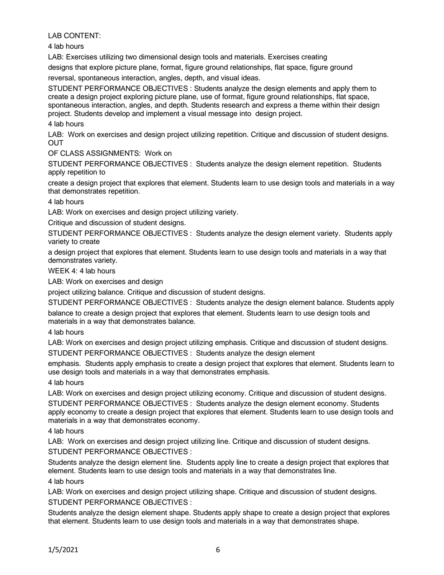LAB CONTENT:

4 lab hours

LAB: Exercises utilizing two dimensional design tools and materials. Exercises creating

designs that explore picture plane, format, figure ground relationships, flat space, figure ground

reversal, spontaneous interaction, angles, depth, and visual ideas.

STUDENT PERFORMANCE OBJECTIVES : Students analyze the design elements and apply them to create a design project exploring picture plane, use of format, figure ground relationships, flat space, spontaneous interaction, angles, and depth. Students research and express a theme within their design project. Students develop and implement a visual message into design project.

4 lab hours

LAB: Work on exercises and design project utilizing repetition. Critique and discussion of student designs. **OUT** 

OF CLASS ASSIGNMENTS: Work on

STUDENT PERFORMANCE OBJECTIVES : Students analyze the design element repetition. Students apply repetition to

create a design project that explores that element. Students learn to use design tools and materials in a way that demonstrates repetition.

4 lab hours

LAB: Work on exercises and design project utilizing variety.

Critique and discussion of student designs.

STUDENT PERFORMANCE OBJECTIVES : Students analyze the design element variety. Students apply variety to create

a design project that explores that element. Students learn to use design tools and materials in a way that demonstrates variety.

WEEK 4: 4 lab hours

LAB: Work on exercises and design

project utilizing balance. Critique and discussion of student designs.

STUDENT PERFORMANCE OBJECTIVES : Students analyze the design element balance. Students apply balance to create a design project that explores that element. Students learn to use design tools and materials in a way that demonstrates balance.

4 lab hours

LAB: Work on exercises and design project utilizing emphasis. Critique and discussion of student designs.

STUDENT PERFORMANCE OBJECTIVES : Students analyze the design element

emphasis. Students apply emphasis to create a design project that explores that element. Students learn to use design tools and materials in a way that demonstrates emphasis.

4 lab hours

LAB: Work on exercises and design project utilizing economy. Critique and discussion of student designs.

STUDENT PERFORMANCE OBJECTIVES : Students analyze the design element economy. Students apply economy to create a design project that explores that element. Students learn to use design tools and materials in a way that demonstrates economy.

4 lab hours

LAB: Work on exercises and design project utilizing line. Critique and discussion of student designs. STUDENT PERFORMANCE OBJECTIVES :

Students analyze the design element line. Students apply line to create a design project that explores that element. Students learn to use design tools and materials in a way that demonstrates line.

4 lab hours

LAB: Work on exercises and design project utilizing shape. Critique and discussion of student designs. STUDENT PERFORMANCE OBJECTIVES :

Students analyze the design element shape. Students apply shape to create a design project that explores that element. Students learn to use design tools and materials in a way that demonstrates shape.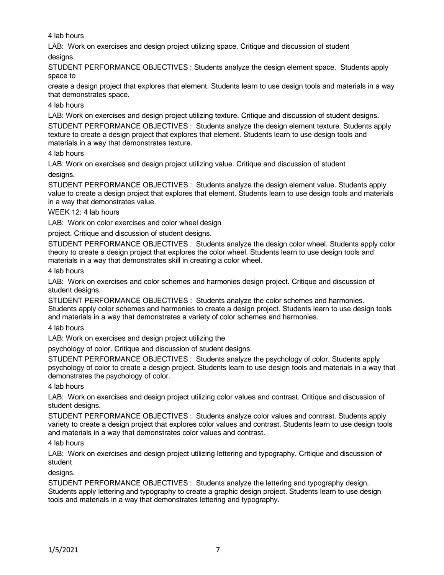4 lab hours

LAB: Work on exercises and design project utilizing space. Critique and discussion of student

designs.

STUDENT PERFORMANCE OBJECTIVES : Students analyze the design element space. Students apply space to

create a design project that explores that element. Students learn to use design tools and materials in a way that demonstrates space.

## 4 lab hours

LAB: Work on exercises and design project utilizing texture. Critique and discussion of student designs. STUDENT PERFORMANCE OBJECTIVES : Students analyze the design element texture. Students apply texture to create a design project that explores that element. Students learn to use design tools and materials in a way that demonstrates texture.

## 4 lab hours

LAB: Work on exercises and design project utilizing value. Critique and discussion of student

designs.

STUDENT PERFORMANCE OBJECTIVES : Students analyze the design element value. Students apply value to create a design project that explores that element. Students learn to use design tools and materials in a way that demonstrates value.

WEEK 12: 4 lab hours

LAB: Work on color exercises and color wheel design

project. Critique and discussion of student designs.

STUDENT PERFORMANCE OBJECTIVES : Students analyze the design color wheel. Students apply color theory to create a design project that explores the color wheel. Students learn to use design tools and materials in a way that demonstrates skill in creating a color wheel.

4 lab hours

LAB: Work on exercises and color schemes and harmonies design project. Critique and discussion of student designs.

STUDENT PERFORMANCE OBJECTIVES : Students analyze the color schemes and harmonies. Students apply color schemes and harmonies to create a design project. Students learn to use design tools and materials in a way that demonstrates a variety of color schemes and harmonies.

4 lab hours

LAB: Work on exercises and design project utilizing the

psychology of color. Critique and discussion of student designs.

STUDENT PERFORMANCE OBJECTIVES : Students analyze the psychology of color. Students apply psychology of color to create a design project. Students learn to use design tools and materials in a way that demonstrates the psychology of color.

#### 4 lab hours

LAB: Work on exercises and design project utilizing color values and contrast. Critique and discussion of student designs.

STUDENT PERFORMANCE OBJECTIVES : Students analyze color values and contrast. Students apply variety to create a design project that explores color values and contrast. Students learn to use design tools and materials in a way that demonstrates color values and contrast.

4 lab hours

LAB: Work on exercises and design project utilizing lettering and typography. Critique and discussion of student

designs.

STUDENT PERFORMANCE OBJECTIVES : Students analyze the lettering and typography design. Students apply lettering and typography to create a graphic design project. Students learn to use design tools and materials in a way that demonstrates lettering and typography.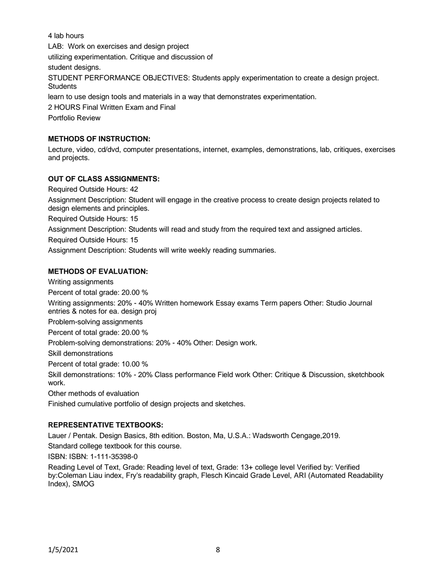4 lab hours LAB: Work on exercises and design project utilizing experimentation. Critique and discussion of student designs. STUDENT PERFORMANCE OBJECTIVES: Students apply experimentation to create a design project. **Students** learn to use design tools and materials in a way that demonstrates experimentation. 2 HOURS Final Written Exam and Final Portfolio Review

# **METHODS OF INSTRUCTION:**

Lecture, video, cd/dvd, computer presentations, internet, examples, demonstrations, lab, critiques, exercises and projects.

## **OUT OF CLASS ASSIGNMENTS:**

Required Outside Hours: 42 Assignment Description: Student will engage in the creative process to create design projects related to design elements and principles. Required Outside Hours: 15 Assignment Description: Students will read and study from the required text and assigned articles. Required Outside Hours: 15 Assignment Description: Students will write weekly reading summaries.

## **METHODS OF EVALUATION:**

Writing assignments Percent of total grade: 20.00 % Writing assignments: 20% - 40% Written homework Essay exams Term papers Other: Studio Journal entries & notes for ea. design proj Problem-solving assignments Percent of total grade: 20.00 % Problem-solving demonstrations: 20% - 40% Other: Design work. Skill demonstrations Percent of total grade: 10.00 % Skill demonstrations: 10% - 20% Class performance Field work Other: Critique & Discussion, sketchbook work. Other methods of evaluation Finished cumulative portfolio of design projects and sketches.

#### **REPRESENTATIVE TEXTBOOKS:**

Lauer / Pentak. Design Basics, 8th edition. Boston, Ma, U.S.A.: Wadsworth Cengage,2019.

Standard college textbook for this course.

ISBN: ISBN: 1-111-35398-0

Reading Level of Text, Grade: Reading level of text, Grade: 13+ college level Verified by: Verified by:Coleman Liau index, Fry's readability graph, Flesch Kincaid Grade Level, ARI (Automated Readability Index), SMOG